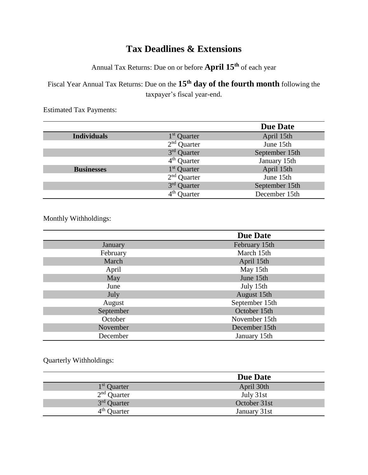## **Tax Deadlines & Extensions**

Annual Tax Returns: Due on or before **April 15th** of each year

Fiscal Year Annual Tax Returns: Due on the **15th day of the fourth month** following the taxpayer's fiscal year-end.

|                    |                         | <b>Due Date</b> |
|--------------------|-------------------------|-----------------|
| <b>Individuals</b> | 1 <sup>st</sup> Quarter | April 15th      |
|                    | $2nd$ Quarter           | June 15th       |
|                    | 3rd Quarter             | September 15th  |
|                    | $4th$ Quarter           | January 15th    |
| <b>Businesses</b>  | 1 <sup>st</sup> Quarter | April 15th      |
|                    | $2nd$ Quarter           | June 15th       |
|                    | 3 <sup>rd</sup> Quarter | September 15th  |
|                    | $4th$ Quarter           | December 15th   |

Estimated Tax Payments:

Monthly Withholdings:

|           | <b>Due Date</b> |
|-----------|-----------------|
| January   | February 15th   |
| February  | March 15th      |
| March     | April 15th      |
| April     | May 15th        |
| May       | June 15th       |
| June      | July 15th       |
| July      | August 15th     |
| August    | September 15th  |
| September | October 15th    |
| October   | November 15th   |
| November  | December 15th   |
| December  | January 15th    |

Quarterly Withholdings:

|                         | <b>Due Date</b> |
|-------------------------|-----------------|
| 1 <sup>st</sup> Quarter | April 30th      |
| $2nd$ Quarter           | July 31st       |
| $3rd$ Quarter           | October 31st    |
| $4th$ Quarter           | January 31st    |